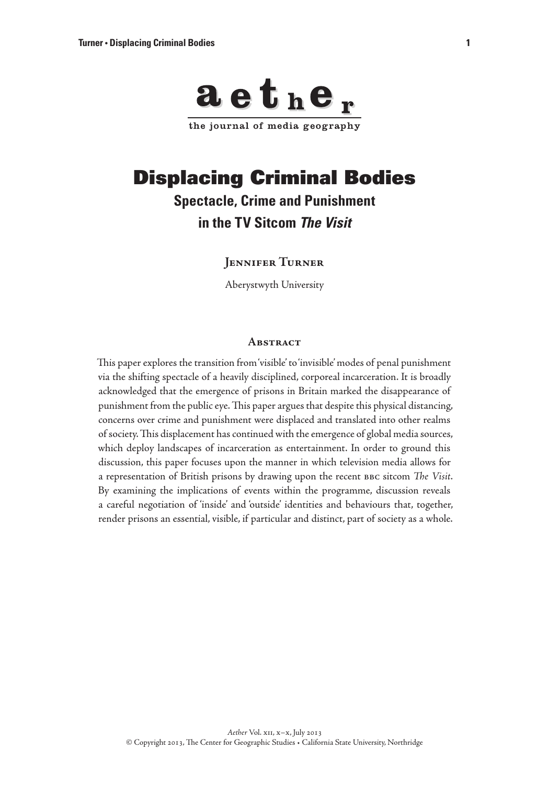

# Displacing Criminal Bodies

# **Spectacle, Crime and Punishment in the TV Sitcom** *The Visit*

# **Jennifer Turner**

Aberystwyth University

#### **Abstract**

This paper explores the transition from 'visible' to 'invisible' modes of penal punishment via the shifting spectacle of a heavily disciplined, corporeal incarceration. It is broadly acknowledged that the emergence of prisons in Britain marked the disappearance of punishment from the public eye. This paper argues that despite this physical distancing, concerns over crime and punishment were displaced and translated into other realms of society. This displacement has continued with the emergence of global media sources, which deploy landscapes of incarceration as entertainment. In order to ground this discussion, this paper focuses upon the manner in which television media allows for a representation of British prisons by drawing upon the recent bbc sitcom *The Visit*. By examining the implications of events within the programme, discussion reveals a careful negotiation of 'inside' and 'outside' identities and behaviours that, together, render prisons an essential, visible, if particular and distinct, part of society as a whole.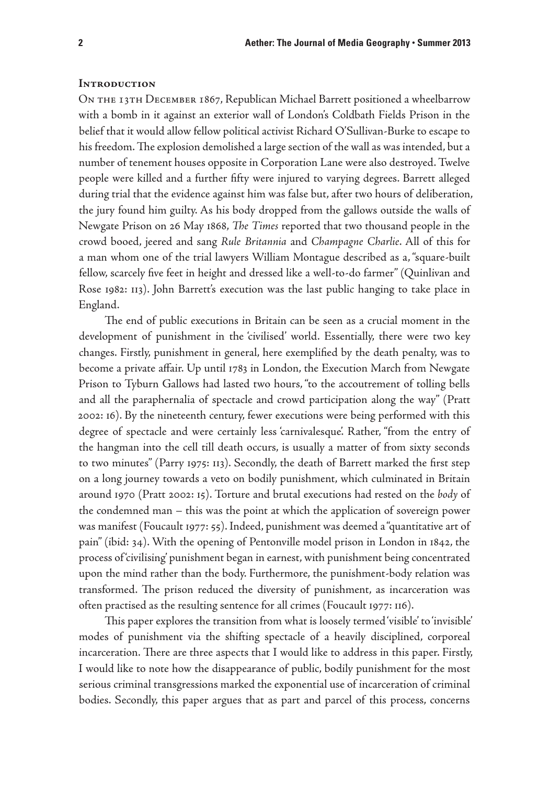### **Introduction**

On the 13th December 1867, Republican Michael Barrett positioned a wheelbarrow with a bomb in it against an exterior wall of London's Coldbath Fields Prison in the belief that it would allow fellow political activist Richard O'Sullivan-Burke to escape to his freedom. The explosion demolished a large section of the wall as was intended, but a number of tenement houses opposite in Corporation Lane were also destroyed. Twelve people were killed and a further fifty were injured to varying degrees. Barrett alleged during trial that the evidence against him was false but, after two hours of deliberation, the jury found him guilty. As his body dropped from the gallows outside the walls of Newgate Prison on 26 May 1868, *The Times* reported that two thousand people in the crowd booed, jeered and sang *Rule Britannia* and *Champagne Charlie*. All of this for a man whom one of the trial lawyers William Montague described as a, "square-built fellow, scarcely five feet in height and dressed like a well-to-do farmer" (Quinlivan and Rose 1982: 113). John Barrett's execution was the last public hanging to take place in England.

The end of public executions in Britain can be seen as a crucial moment in the development of punishment in the 'civilised' world. Essentially, there were two key changes. Firstly, punishment in general, here exemplified by the death penalty, was to become a private affair. Up until 1783 in London, the Execution March from Newgate Prison to Tyburn Gallows had lasted two hours, "to the accoutrement of tolling bells and all the paraphernalia of spectacle and crowd participation along the way" (Pratt 2002: 16). By the nineteenth century, fewer executions were being performed with this degree of spectacle and were certainly less 'carnivalesque'. Rather, "from the entry of the hangman into the cell till death occurs, is usually a matter of from sixty seconds to two minutes" (Parry 1975: 113). Secondly, the death of Barrett marked the first step on a long journey towards a veto on bodily punishment, which culminated in Britain around 1970 (Pratt 2002: 15). Torture and brutal executions had rested on the *body* of the condemned man – this was the point at which the application of sovereign power was manifest (Foucault 1977: 55). Indeed, punishment was deemed a "quantitative art of pain" (ibid: 34). With the opening of Pentonville model prison in London in 1842, the process of 'civilising' punishment began in earnest, with punishment being concentrated upon the mind rather than the body. Furthermore, the punishment-body relation was transformed. The prison reduced the diversity of punishment, as incarceration was often practised as the resulting sentence for all crimes (Foucault 1977: 116).

This paper explores the transition from what is loosely termed 'visible' to 'invisible' modes of punishment via the shifting spectacle of a heavily disciplined, corporeal incarceration. There are three aspects that I would like to address in this paper. Firstly, I would like to note how the disappearance of public, bodily punishment for the most serious criminal transgressions marked the exponential use of incarceration of criminal bodies. Secondly, this paper argues that as part and parcel of this process, concerns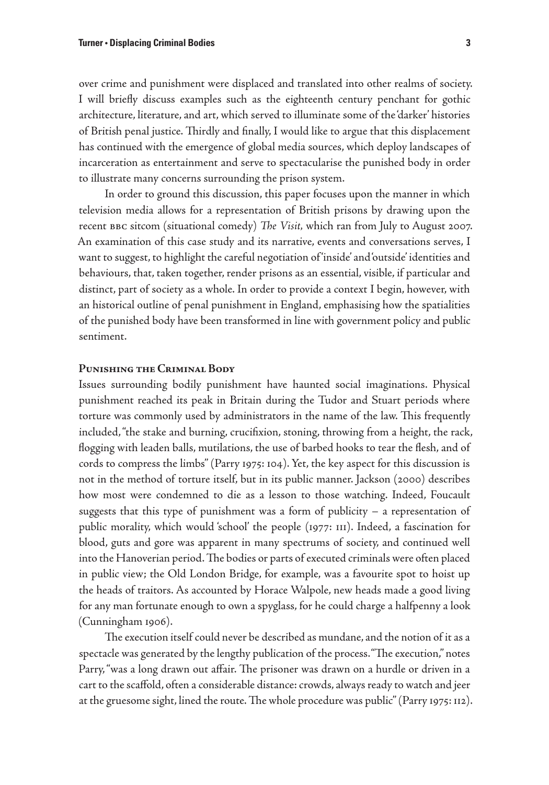over crime and punishment were displaced and translated into other realms of society. I will briefly discuss examples such as the eighteenth century penchant for gothic architecture, literature, and art, which served to illuminate some of the 'darker' histories of British penal justice. Thirdly and finally, I would like to argue that this displacement has continued with the emergence of global media sources, which deploy landscapes of incarceration as entertainment and serve to spectacularise the punished body in order to illustrate many concerns surrounding the prison system.

In order to ground this discussion, this paper focuses upon the manner in which television media allows for a representation of British prisons by drawing upon the recent bbc sitcom (situational comedy) *The Visit,* which ran from July to August 2007. An examination of this case study and its narrative, events and conversations serves, I want to suggest, to highlight the careful negotiation of 'inside' and 'outside' identities and behaviours, that, taken together, render prisons as an essential, visible, if particular and distinct, part of society as a whole. In order to provide a context I begin, however, with an historical outline of penal punishment in England, emphasising how the spatialities of the punished body have been transformed in line with government policy and public sentiment.

### **Punishing the Criminal Body**

Issues surrounding bodily punishment have haunted social imaginations. Physical punishment reached its peak in Britain during the Tudor and Stuart periods where torture was commonly used by administrators in the name of the law. This frequently included, "the stake and burning, crucifixion, stoning, throwing from a height, the rack, flogging with leaden balls, mutilations, the use of barbed hooks to tear the flesh, and of cords to compress the limbs" (Parry 1975: 104). Yet, the key aspect for this discussion is not in the method of torture itself, but in its public manner. Jackson (2000) describes how most were condemned to die as a lesson to those watching. Indeed, Foucault suggests that this type of punishment was a form of publicity – a representation of public morality, which would 'school' the people (1977: 111). Indeed, a fascination for blood, guts and gore was apparent in many spectrums of society, and continued well into the Hanoverian period. The bodies or parts of executed criminals were often placed in public view; the Old London Bridge, for example, was a favourite spot to hoist up the heads of traitors. As accounted by Horace Walpole, new heads made a good living for any man fortunate enough to own a spyglass, for he could charge a halfpenny a look (Cunningham 1906).

The execution itself could never be described as mundane, and the notion of it as a spectacle was generated by the lengthy publication of the process. "The execution," notes Parry, "was a long drawn out affair. The prisoner was drawn on a hurdle or driven in a cart to the scaffold, often a considerable distance: crowds, always ready to watch and jeer at the gruesome sight, lined the route. The whole procedure was public" (Parry 1975: 112).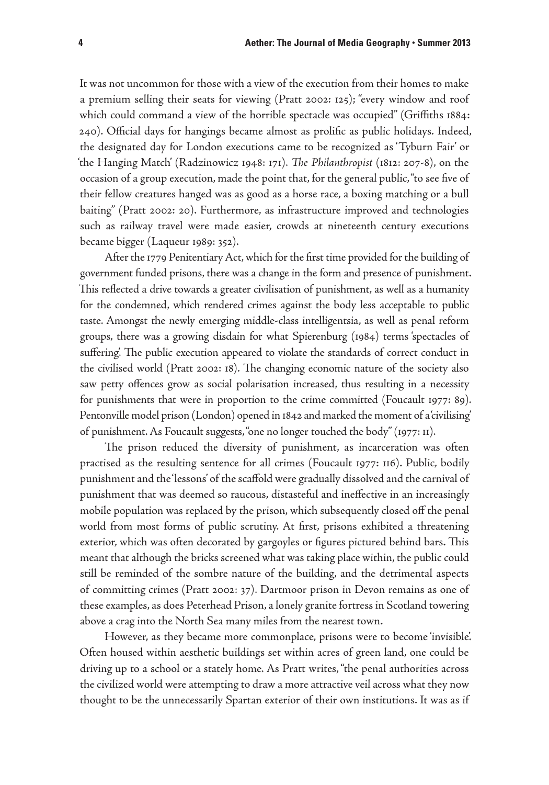It was not uncommon for those with a view of the execution from their homes to make a premium selling their seats for viewing (Pratt 2002: 125); "every window and roof which could command a view of the horrible spectacle was occupied" (Griffiths 1884: 240). Official days for hangings became almost as prolific as public holidays. Indeed, the designated day for London executions came to be recognized as 'Tyburn Fair' or 'the Hanging Match' (Radzinowicz 1948: 171). *The Philanthropist* (1812: 207-8), on the occasion of a group execution, made the point that, for the general public, "to see five of their fellow creatures hanged was as good as a horse race, a boxing matching or a bull baiting" (Pratt 2002: 20). Furthermore, as infrastructure improved and technologies such as railway travel were made easier, crowds at nineteenth century executions became bigger (Laqueur 1989: 352).

After the 1779 Penitentiary Act, which for the first time provided for the building of government funded prisons, there was a change in the form and presence of punishment. This reflected a drive towards a greater civilisation of punishment, as well as a humanity for the condemned, which rendered crimes against the body less acceptable to public taste. Amongst the newly emerging middle-class intelligentsia, as well as penal reform groups, there was a growing disdain for what Spierenburg (1984) terms 'spectacles of suffering'. The public execution appeared to violate the standards of correct conduct in the civilised world (Pratt 2002: 18). The changing economic nature of the society also saw petty offences grow as social polarisation increased, thus resulting in a necessity for punishments that were in proportion to the crime committed (Foucault 1977: 89). Pentonville model prison (London) opened in 1842 and marked the moment of a 'civilising' of punishment. As Foucault suggests, "one no longer touched the body" (1977: 11).

The prison reduced the diversity of punishment, as incarceration was often practised as the resulting sentence for all crimes (Foucault 1977: 116). Public, bodily punishment and the 'lessons' of the scaffold were gradually dissolved and the carnival of punishment that was deemed so raucous, distasteful and ineffective in an increasingly mobile population was replaced by the prison, which subsequently closed off the penal world from most forms of public scrutiny. At first, prisons exhibited a threatening exterior, which was often decorated by gargoyles or figures pictured behind bars. This meant that although the bricks screened what was taking place within, the public could still be reminded of the sombre nature of the building, and the detrimental aspects of committing crimes (Pratt 2002: 37). Dartmoor prison in Devon remains as one of these examples, as does Peterhead Prison, a lonely granite fortress in Scotland towering above a crag into the North Sea many miles from the nearest town.

However, as they became more commonplace, prisons were to become 'invisible'. Often housed within aesthetic buildings set within acres of green land, one could be driving up to a school or a stately home. As Pratt writes, "the penal authorities across the civilized world were attempting to draw a more attractive veil across what they now thought to be the unnecessarily Spartan exterior of their own institutions. It was as if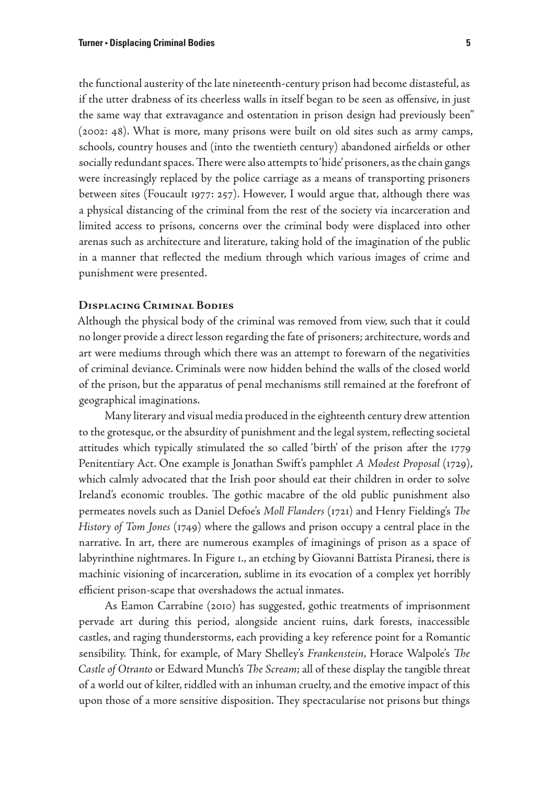the functional austerity of the late nineteenth-century prison had become distasteful, as if the utter drabness of its cheerless walls in itself began to be seen as offensive, in just the same way that extravagance and ostentation in prison design had previously been" (2002: 48). What is more, many prisons were built on old sites such as army camps, schools, country houses and (into the twentieth century) abandoned airfields or other socially redundant spaces. There were also attempts to 'hide' prisoners, as the chain gangs were increasingly replaced by the police carriage as a means of transporting prisoners between sites (Foucault 1977: 257). However, I would argue that, although there was a physical distancing of the criminal from the rest of the society via incarceration and limited access to prisons, concerns over the criminal body were displaced into other arenas such as architecture and literature, taking hold of the imagination of the public in a manner that reflected the medium through which various images of crime and punishment were presented.

## **Displacing Criminal Bodies**

Although the physical body of the criminal was removed from view, such that it could no longer provide a direct lesson regarding the fate of prisoners; architecture, words and art were mediums through which there was an attempt to forewarn of the negativities of criminal deviance. Criminals were now hidden behind the walls of the closed world of the prison, but the apparatus of penal mechanisms still remained at the forefront of geographical imaginations.

Many literary and visual media produced in the eighteenth century drew attention to the grotesque, or the absurdity of punishment and the legal system, reflecting societal attitudes which typically stimulated the so called 'birth' of the prison after the 1779 Penitentiary Act. One example is Jonathan Swift's pamphlet *A Modest Proposal* (1729), which calmly advocated that the Irish poor should eat their children in order to solve Ireland's economic troubles. The gothic macabre of the old public punishment also permeates novels such as Daniel Defoe's *Moll Flanders* (1721) and Henry Fielding's *The History of Tom Jones* (1749) where the gallows and prison occupy a central place in the narrative. In art, there are numerous examples of imaginings of prison as a space of labyrinthine nightmares. In Figure 1., an etching by Giovanni Battista Piranesi, there is machinic visioning of incarceration, sublime in its evocation of a complex yet horribly efficient prison-scape that overshadows the actual inmates.

As Eamon Carrabine (2010) has suggested, gothic treatments of imprisonment pervade art during this period, alongside ancient ruins, dark forests, inaccessible castles, and raging thunderstorms, each providing a key reference point for a Romantic sensibility. Think, for example, of Mary Shelley's *Frankenstein*, Horace Walpole's *The Castle of Otranto* or Edward Munch's *The Scream*; all of these display the tangible threat of a world out of kilter, riddled with an inhuman cruelty, and the emotive impact of this upon those of a more sensitive disposition. They spectacularise not prisons but things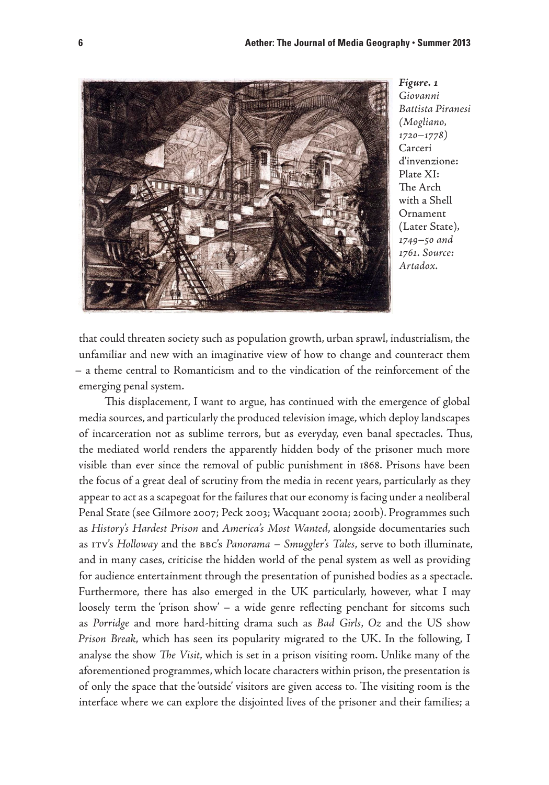

*Figure. 1 Giovanni Battista Piranesi (Mogliano, 1720–1778)*  Carceri d'invenzione: Plate XI: The Arch with a Shell Ornament (Later State)*, 1749–50 and 1761. Source: Artadox.* 

that could threaten society such as population growth, urban sprawl, industrialism, the unfamiliar and new with an imaginative view of how to change and counteract them – a theme central to Romanticism and to the vindication of the reinforcement of the emerging penal system.

This displacement, I want to argue, has continued with the emergence of global media sources, and particularly the produced television image, which deploy landscapes of incarceration not as sublime terrors, but as everyday, even banal spectacles. Thus, the mediated world renders the apparently hidden body of the prisoner much more visible than ever since the removal of public punishment in 1868. Prisons have been the focus of a great deal of scrutiny from the media in recent years, particularly as they appear to act as a scapegoat for the failures that our economy is facing under a neoliberal Penal State (see Gilmore 2007; Peck 2003; Wacquant 2001a; 2001b). Programmes such as *History's Hardest Prison* and *America's Most Wanted*, alongside documentaries such as itv's *Holloway* and the bbc's *Panorama – Smuggler's Tales*, serve to both illuminate, and in many cases, criticise the hidden world of the penal system as well as providing for audience entertainment through the presentation of punished bodies as a spectacle. Furthermore, there has also emerged in the UK particularly, however, what I may loosely term the 'prison show' – a wide genre reflecting penchant for sitcoms such as *Porridge* and more hard-hitting drama such as *Bad Girls*, *Oz* and the US show *Prison Break*, which has seen its popularity migrated to the UK. In the following, I analyse the show *The Visit*, which is set in a prison visiting room. Unlike many of the aforementioned programmes, which locate characters within prison, the presentation is of only the space that the 'outside' visitors are given access to. The visiting room is the interface where we can explore the disjointed lives of the prisoner and their families; a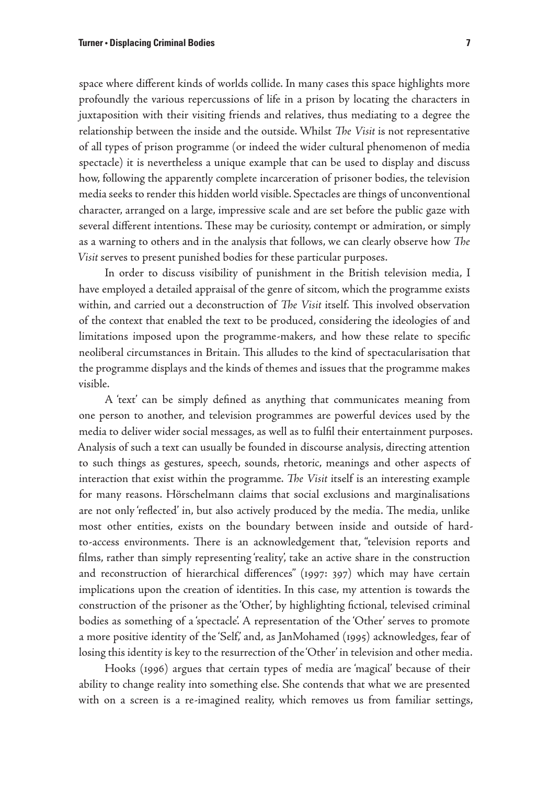space where different kinds of worlds collide. In many cases this space highlights more profoundly the various repercussions of life in a prison by locating the characters in juxtaposition with their visiting friends and relatives, thus mediating to a degree the relationship between the inside and the outside. Whilst *The Visit* is not representative of all types of prison programme (or indeed the wider cultural phenomenon of media spectacle) it is nevertheless a unique example that can be used to display and discuss how, following the apparently complete incarceration of prisoner bodies, the television media seeks to render this hidden world visible. Spectacles are things of unconventional character, arranged on a large, impressive scale and are set before the public gaze with several different intentions. These may be curiosity, contempt or admiration, or simply as a warning to others and in the analysis that follows, we can clearly observe how *The Visit* serves to present punished bodies for these particular purposes.

In order to discuss visibility of punishment in the British television media, I have employed a detailed appraisal of the genre of sitcom, which the programme exists within, and carried out a deconstruction of *The Visit* itself. This involved observation of the context that enabled the text to be produced, considering the ideologies of and limitations imposed upon the programme-makers, and how these relate to specific neoliberal circumstances in Britain. This alludes to the kind of spectacularisation that the programme displays and the kinds of themes and issues that the programme makes visible.

A 'text' can be simply defined as anything that communicates meaning from one person to another, and television programmes are powerful devices used by the media to deliver wider social messages, as well as to fulfil their entertainment purposes. Analysis of such a text can usually be founded in discourse analysis, directing attention to such things as gestures, speech, sounds, rhetoric, meanings and other aspects of interaction that exist within the programme. *The Visit* itself is an interesting example for many reasons. Hörschelmann claims that social exclusions and marginalisations are not only 'reflected' in, but also actively produced by the media. The media, unlike most other entities, exists on the boundary between inside and outside of hardto-access environments. There is an acknowledgement that, "television reports and films, rather than simply representing 'reality', take an active share in the construction and reconstruction of hierarchical differences" (1997: 397) which may have certain implications upon the creation of identities. In this case, my attention is towards the construction of the prisoner as the 'Other', by highlighting fictional, televised criminal bodies as something of a 'spectacle'. A representation of the 'Other' serves to promote a more positive identity of the 'Self,' and, as JanMohamed (1995) acknowledges, fear of losing this identity is key to the resurrection of the 'Other' in television and other media.

Hooks (1996) argues that certain types of media are 'magical' because of their ability to change reality into something else. She contends that what we are presented with on a screen is a re-imagined reality, which removes us from familiar settings,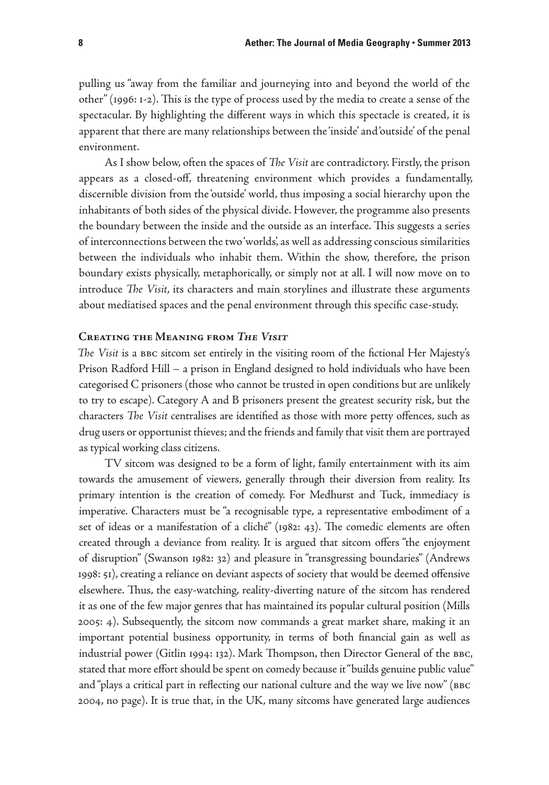pulling us "away from the familiar and journeying into and beyond the world of the other" (1996: 1-2). This is the type of process used by the media to create a sense of the spectacular. By highlighting the different ways in which this spectacle is created, it is apparent that there are many relationships between the 'inside' and 'outside' of the penal environment.

As I show below, often the spaces of *The Visit* are contradictory. Firstly, the prison appears as a closed-off, threatening environment which provides a fundamentally, discernible division from the 'outside' world, thus imposing a social hierarchy upon the inhabitants of both sides of the physical divide. However, the programme also presents the boundary between the inside and the outside as an interface. This suggests a series of interconnections between the two 'worlds', as well as addressing conscious similarities between the individuals who inhabit them. Within the show, therefore, the prison boundary exists physically, metaphorically, or simply not at all. I will now move on to introduce *The Visit*, its characters and main storylines and illustrate these arguments about mediatised spaces and the penal environment through this specific case-study.

### **Creating the Meaning from** *The Visit*

*The Visit* is a bbc sitcom set entirely in the visiting room of the fictional Her Majesty's Prison Radford Hill – a prison in England designed to hold individuals who have been categorised C prisoners (those who cannot be trusted in open conditions but are unlikely to try to escape). Category A and B prisoners present the greatest security risk, but the characters *The Visit* centralises are identified as those with more petty offences, such as drug users or opportunist thieves; and the friends and family that visit them are portrayed as typical working class citizens.

TV sitcom was designed to be a form of light, family entertainment with its aim towards the amusement of viewers, generally through their diversion from reality. Its primary intention is the creation of comedy. For Medhurst and Tuck, immediacy is imperative. Characters must be "a recognisable type, a representative embodiment of a set of ideas or a manifestation of a cliché" (1982: 43). The comedic elements are often created through a deviance from reality. It is argued that sitcom offers "the enjoyment of disruption" (Swanson 1982: 32) and pleasure in "transgressing boundaries" (Andrews 1998: 51), creating a reliance on deviant aspects of society that would be deemed offensive elsewhere. Thus, the easy-watching, reality-diverting nature of the sitcom has rendered it as one of the few major genres that has maintained its popular cultural position (Mills 2005: 4). Subsequently, the sitcom now commands a great market share, making it an important potential business opportunity, in terms of both financial gain as well as industrial power (Gitlin 1994: 132). Mark Thompson, then Director General of the BBC, stated that more effort should be spent on comedy because it "builds genuine public value" and "plays a critical part in reflecting our national culture and the way we live now" (BBC 2004, no page). It is true that, in the UK, many sitcoms have generated large audiences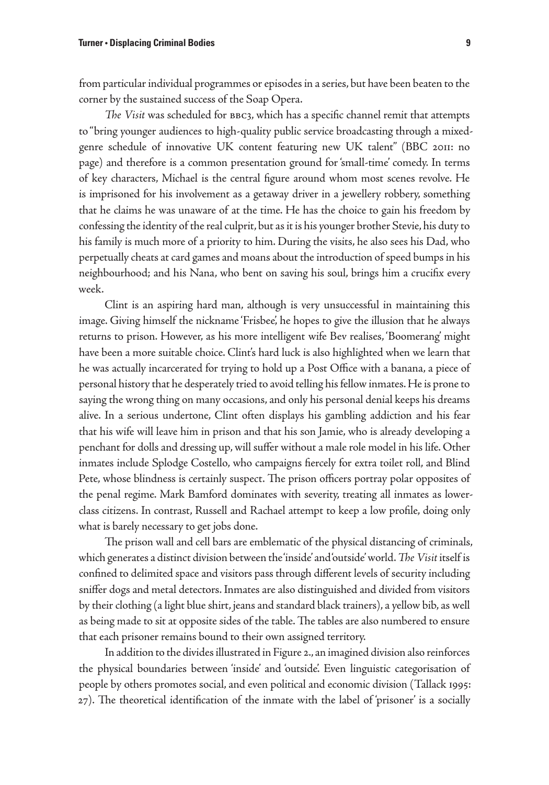from particular individual programmes or episodes in a series, but have been beaten to the corner by the sustained success of the Soap Opera.

*The Visit* was scheduled for bbc3, which has a specific channel remit that attempts to "bring younger audiences to high-quality public service broadcasting through a mixedgenre schedule of innovative UK content featuring new UK talent" (BBC 2011: no page) and therefore is a common presentation ground for 'small-time' comedy. In terms of key characters, Michael is the central figure around whom most scenes revolve. He is imprisoned for his involvement as a getaway driver in a jewellery robbery, something that he claims he was unaware of at the time. He has the choice to gain his freedom by confessing the identity of the real culprit, but as it is his younger brother Stevie, his duty to his family is much more of a priority to him. During the visits, he also sees his Dad, who perpetually cheats at card games and moans about the introduction of speed bumps in his neighbourhood; and his Nana, who bent on saving his soul, brings him a crucifix every week.

Clint is an aspiring hard man, although is very unsuccessful in maintaining this image. Giving himself the nickname 'Frisbee', he hopes to give the illusion that he always returns to prison. However, as his more intelligent wife Bev realises, 'Boomerang' might have been a more suitable choice. Clint's hard luck is also highlighted when we learn that he was actually incarcerated for trying to hold up a Post Office with a banana, a piece of personal history that he desperately tried to avoid telling his fellow inmates. He is prone to saying the wrong thing on many occasions, and only his personal denial keeps his dreams alive. In a serious undertone, Clint often displays his gambling addiction and his fear that his wife will leave him in prison and that his son Jamie, who is already developing a penchant for dolls and dressing up, will suffer without a male role model in his life. Other inmates include Splodge Costello, who campaigns fiercely for extra toilet roll, and Blind Pete, whose blindness is certainly suspect. The prison officers portray polar opposites of the penal regime. Mark Bamford dominates with severity, treating all inmates as lowerclass citizens. In contrast, Russell and Rachael attempt to keep a low profile, doing only what is barely necessary to get jobs done.

The prison wall and cell bars are emblematic of the physical distancing of criminals, which generates a distinct division between the 'inside' and 'outside' world. *The Visit* itself is confined to delimited space and visitors pass through different levels of security including sniffer dogs and metal detectors. Inmates are also distinguished and divided from visitors by their clothing (a light blue shirt, jeans and standard black trainers), a yellow bib, as well as being made to sit at opposite sides of the table. The tables are also numbered to ensure that each prisoner remains bound to their own assigned territory.

In addition to the divides illustrated in Figure 2., an imagined division also reinforces the physical boundaries between 'inside' and 'outside'. Even linguistic categorisation of people by others promotes social, and even political and economic division (Tallack 1995: 27). The theoretical identification of the inmate with the label of 'prisoner' is a socially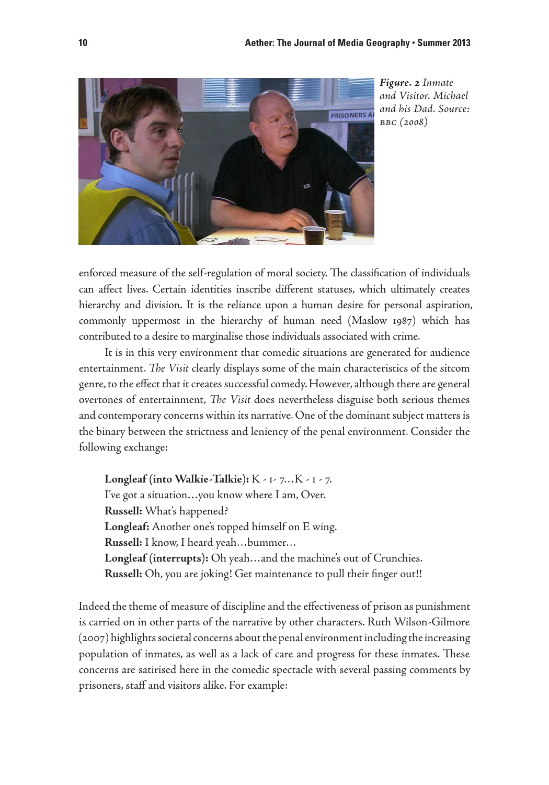

*Figure. 2 Inmate and Visitor. Michael and his Dad. Source: bbc (2008)* 

enforced measure of the self-regulation of moral society. The classification of individuals can affect lives. Certain identities inscribe different statuses, which ultimately creates hierarchy and division. It is the reliance upon a human desire for personal aspiration, commonly uppermost in the hierarchy of human need (Maslow 1987) which has contributed to a desire to marginalise those individuals associated with crime.

It is in this very environment that comedic situations are generated for audience entertainment. *The Visit* clearly displays some of the main characteristics of the sitcom genre, to the effect that it creates successful comedy. However, although there are general overtones of entertainment, *The Visit* does nevertheless disguise both serious themes and contemporary concerns within its narrative. One of the dominant subject matters is the binary between the strictness and leniency of the penal environment. Consider the following exchange:

**Longleaf (into Walkie-Talkie):** K - 1- 7…K - 1 - 7. I've got a situation…you know where I am, Over. **Russell:** What's happened? **Longleaf:** Another one's topped himself on E wing. **Russell:** I know, I heard yeah…bummer… **Longleaf (interrupts):** Oh yeah…and the machine's out of Crunchies. **Russell:** Oh, you are joking! Get maintenance to pull their finger out!!

Indeed the theme of measure of discipline and the effectiveness of prison as punishment is carried on in other parts of the narrative by other characters. Ruth Wilson-Gilmore (2007) highlights societal concerns about the penal environment including the increasing population of inmates, as well as a lack of care and progress for these inmates. These concerns are satirised here in the comedic spectacle with several passing comments by prisoners, staff and visitors alike. For example: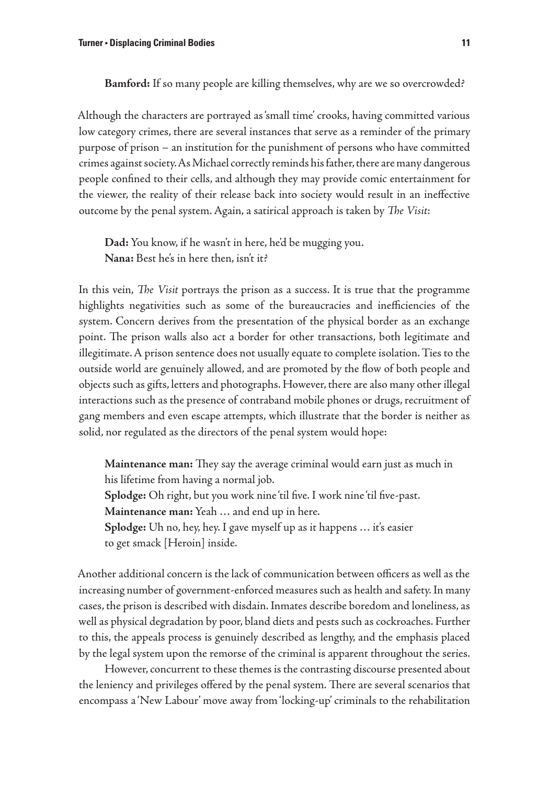**Bamford:** If so many people are killing themselves, why are we so overcrowded?

Although the characters are portrayed as 'small time' crooks, having committed various low category crimes, there are several instances that serve as a reminder of the primary purpose of prison – an institution for the punishment of persons who have committed crimes against society. As Michael correctly reminds his father, there are many dangerous people confined to their cells, and although they may provide comic entertainment for the viewer, the reality of their release back into society would result in an ineffective outcome by the penal system. Again, a satirical approach is taken by *The Visit*:

**Dad:** You know, if he wasn't in here, he'd be mugging you. **Nana:** Best he's in here then, isn't it?

In this vein, *The Visit* portrays the prison as a success. It is true that the programme highlights negativities such as some of the bureaucracies and inefficiencies of the system. Concern derives from the presentation of the physical border as an exchange point. The prison walls also act a border for other transactions, both legitimate and illegitimate. A prison sentence does not usually equate to complete isolation. Ties to the outside world are genuinely allowed, and are promoted by the flow of both people and objects such as gifts, letters and photographs. However, there are also many other illegal interactions such as the presence of contraband mobile phones or drugs, recruitment of gang members and even escape attempts, which illustrate that the border is neither as solid, nor regulated as the directors of the penal system would hope:

**Maintenance man:** They say the average criminal would earn just as much in his lifetime from having a normal job. **Splodge:** Oh right, but you work nine 'til five. I work nine 'til five-past. **Maintenance man:** Yeah … and end up in here. **Splodge:** Uh no, hey, hey. I gave myself up as it happens … it's easier to get smack [Heroin] inside.

Another additional concern is the lack of communication between officers as well as the increasing number of government-enforced measures such as health and safety. In many cases, the prison is described with disdain. Inmates describe boredom and loneliness, as well as physical degradation by poor, bland diets and pests such as cockroaches. Further to this, the appeals process is genuinely described as lengthy, and the emphasis placed by the legal system upon the remorse of the criminal is apparent throughout the series.

However, concurrent to these themes is the contrasting discourse presented about the leniency and privileges offered by the penal system. There are several scenarios that encompass a 'New Labour' move away from 'locking-up' criminals to the rehabilitation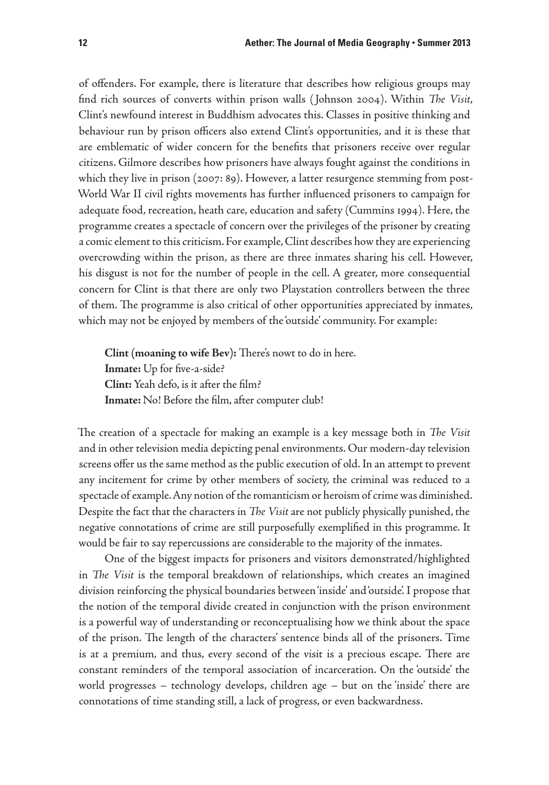of offenders. For example, there is literature that describes how religious groups may find rich sources of converts within prison walls ( Johnson 2004). Within *The Visit*, Clint's newfound interest in Buddhism advocates this. Classes in positive thinking and behaviour run by prison officers also extend Clint's opportunities, and it is these that are emblematic of wider concern for the benefits that prisoners receive over regular citizens. Gilmore describes how prisoners have always fought against the conditions in which they live in prison (2007: 89). However, a latter resurgence stemming from post-World War II civil rights movements has further influenced prisoners to campaign for adequate food, recreation, heath care, education and safety (Cummins 1994). Here, the programme creates a spectacle of concern over the privileges of the prisoner by creating a comic element to this criticism. For example, Clint describes how they are experiencing overcrowding within the prison, as there are three inmates sharing his cell. However, his disgust is not for the number of people in the cell. A greater, more consequential concern for Clint is that there are only two Playstation controllers between the three of them. The programme is also critical of other opportunities appreciated by inmates, which may not be enjoyed by members of the 'outside' community. For example:

**Clint (moaning to wife Bev):** There's nowt to do in here. **Inmate:** Up for five-a-side? **Clint:** Yeah defo, is it after the film? **Inmate:** No! Before the film, after computer club!

The creation of a spectacle for making an example is a key message both in *The Visit* and in other television media depicting penal environments. Our modern-day television screens offer us the same method as the public execution of old. In an attempt to prevent any incitement for crime by other members of society, the criminal was reduced to a spectacle of example. Any notion of the romanticism or heroism of crime was diminished. Despite the fact that the characters in *The Visit* are not publicly physically punished, the negative connotations of crime are still purposefully exemplified in this programme. It would be fair to say repercussions are considerable to the majority of the inmates.

One of the biggest impacts for prisoners and visitors demonstrated/highlighted in *The Visit* is the temporal breakdown of relationships, which creates an imagined division reinforcing the physical boundaries between 'inside' and 'outside'. I propose that the notion of the temporal divide created in conjunction with the prison environment is a powerful way of understanding or reconceptualising how we think about the space of the prison. The length of the characters' sentence binds all of the prisoners. Time is at a premium, and thus, every second of the visit is a precious escape. There are constant reminders of the temporal association of incarceration. On the 'outside' the world progresses – technology develops, children age – but on the 'inside' there are connotations of time standing still, a lack of progress, or even backwardness.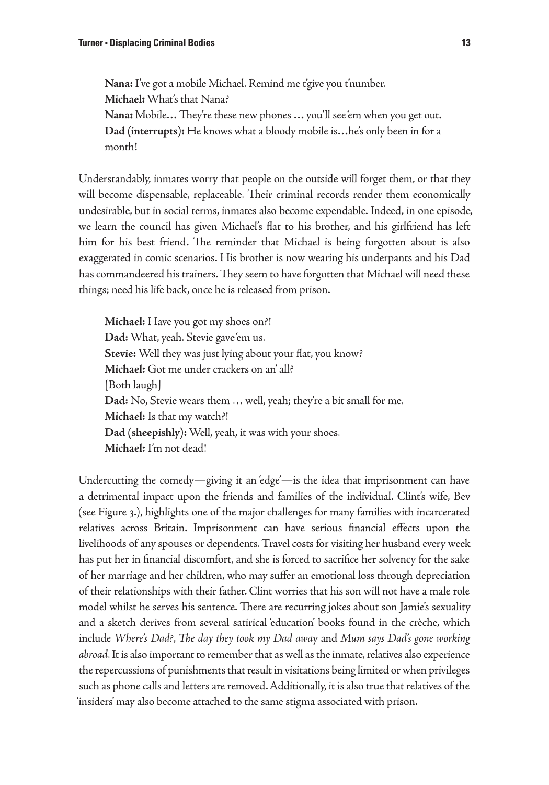**Nana:** I've got a mobile Michael. Remind me t'give you t'number. **Michael:** What's that Nana? **Nana:** Mobile… They're these new phones … you'll see 'em when you get out. **Dad (interrupts):** He knows what a bloody mobile is…he's only been in for a month!

Understandably, inmates worry that people on the outside will forget them, or that they will become dispensable, replaceable. Their criminal records render them economically undesirable, but in social terms, inmates also become expendable. Indeed, in one episode, we learn the council has given Michael's flat to his brother, and his girlfriend has left him for his best friend. The reminder that Michael is being forgotten about is also exaggerated in comic scenarios. His brother is now wearing his underpants and his Dad has commandeered his trainers. They seem to have forgotten that Michael will need these things; need his life back, once he is released from prison.

**Michael:** Have you got my shoes on?! **Dad:** What, yeah. Stevie gave 'em us. **Stevie:** Well they was just lying about your flat, you know? **Michael:** Got me under crackers on an' all? [Both laugh] **Dad:** No, Stevie wears them … well, yeah; they're a bit small for me. **Michael:** Is that my watch?! **Dad (sheepishly):** Well, yeah, it was with your shoes. **Michael:** I'm not dead!

Undercutting the comedy—giving it an 'edge'—is the idea that imprisonment can have a detrimental impact upon the friends and families of the individual. Clint's wife, Bev (see Figure 3.), highlights one of the major challenges for many families with incarcerated relatives across Britain. Imprisonment can have serious financial effects upon the livelihoods of any spouses or dependents. Travel costs for visiting her husband every week has put her in financial discomfort, and she is forced to sacrifice her solvency for the sake of her marriage and her children, who may suffer an emotional loss through depreciation of their relationships with their father. Clint worries that his son will not have a male role model whilst he serves his sentence. There are recurring jokes about son Jamie's sexuality and a sketch derives from several satirical 'education' books found in the crèche, which include *Where's Dad?*, *The day they took my Dad awa*y and *Mum says Dad's gone working abroad*. It is also important to remember that as well as the inmate, relatives also experience the repercussions of punishments that result in visitations being limited or when privileges such as phone calls and letters are removed. Additionally, it is also true that relatives of the 'insiders' may also become attached to the same stigma associated with prison.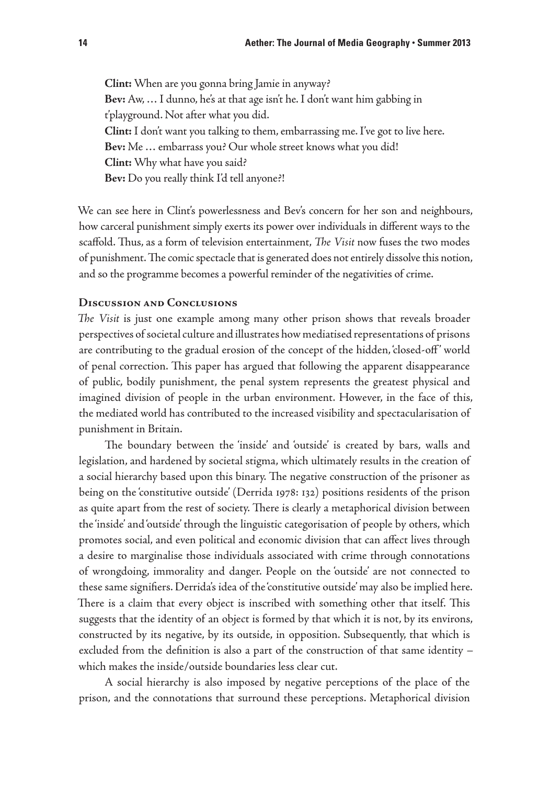**Clint:** When are you gonna bring Jamie in anyway? **Bev:** Aw, … I dunno, he's at that age isn't he. I don't want him gabbing in t'playground. Not after what you did. **Clint:** I don't want you talking to them, embarrassing me. I've got to live here. **Bev:** Me … embarrass you? Our whole street knows what you did! **Clint:** Why what have you said? **Bev:** Do you really think I'd tell anyone?!

We can see here in Clint's powerlessness and Bev's concern for her son and neighbours, how carceral punishment simply exerts its power over individuals in different ways to the scaffold. Thus, as a form of television entertainment, *The Visit* now fuses the two modes of punishment. The comic spectacle that is generated does not entirely dissolve this notion, and so the programme becomes a powerful reminder of the negativities of crime.

# **Discussion and Conclusions**

*The Visit* is just one example among many other prison shows that reveals broader perspectives of societal culture and illustrates how mediatised representations of prisons are contributing to the gradual erosion of the concept of the hidden, 'closed-off ' world of penal correction. This paper has argued that following the apparent disappearance of public, bodily punishment, the penal system represents the greatest physical and imagined division of people in the urban environment. However, in the face of this, the mediated world has contributed to the increased visibility and spectacularisation of punishment in Britain.

The boundary between the 'inside' and 'outside' is created by bars, walls and legislation, and hardened by societal stigma, which ultimately results in the creation of a social hierarchy based upon this binary. The negative construction of the prisoner as being on the 'constitutive outside' (Derrida 1978: 132) positions residents of the prison as quite apart from the rest of society. There is clearly a metaphorical division between the 'inside' and 'outside' through the linguistic categorisation of people by others, which promotes social, and even political and economic division that can affect lives through a desire to marginalise those individuals associated with crime through connotations of wrongdoing, immorality and danger. People on the 'outside' are not connected to these same signifiers. Derrida's idea of the 'constitutive outside' may also be implied here. There is a claim that every object is inscribed with something other that itself. This suggests that the identity of an object is formed by that which it is not, by its environs, constructed by its negative, by its outside, in opposition. Subsequently, that which is excluded from the definition is also a part of the construction of that same identity – which makes the inside/outside boundaries less clear cut.

A social hierarchy is also imposed by negative perceptions of the place of the prison, and the connotations that surround these perceptions. Metaphorical division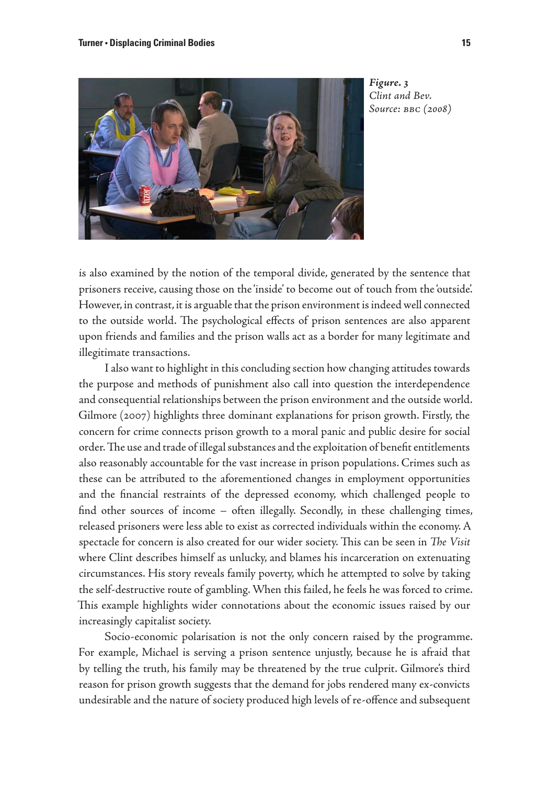

*Figure. 3 Clint and Bev. Source: bbc (2008)* 

is also examined by the notion of the temporal divide, generated by the sentence that prisoners receive, causing those on the 'inside' to become out of touch from the 'outside'. However, in contrast, it is arguable that the prison environment is indeed well connected to the outside world. The psychological effects of prison sentences are also apparent upon friends and families and the prison walls act as a border for many legitimate and illegitimate transactions.

I also want to highlight in this concluding section how changing attitudes towards the purpose and methods of punishment also call into question the interdependence and consequential relationships between the prison environment and the outside world. Gilmore (2007) highlights three dominant explanations for prison growth. Firstly, the concern for crime connects prison growth to a moral panic and public desire for social order. The use and trade of illegal substances and the exploitation of benefit entitlements also reasonably accountable for the vast increase in prison populations. Crimes such as these can be attributed to the aforementioned changes in employment opportunities and the financial restraints of the depressed economy, which challenged people to find other sources of income – often illegally. Secondly, in these challenging times, released prisoners were less able to exist as corrected individuals within the economy. A spectacle for concern is also created for our wider society. This can be seen in *The Visit* where Clint describes himself as unlucky, and blames his incarceration on extenuating circumstances. His story reveals family poverty, which he attempted to solve by taking the self-destructive route of gambling. When this failed, he feels he was forced to crime. This example highlights wider connotations about the economic issues raised by our increasingly capitalist society.

Socio-economic polarisation is not the only concern raised by the programme. For example, Michael is serving a prison sentence unjustly, because he is afraid that by telling the truth, his family may be threatened by the true culprit. Gilmore's third reason for prison growth suggests that the demand for jobs rendered many ex-convicts undesirable and the nature of society produced high levels of re-offence and subsequent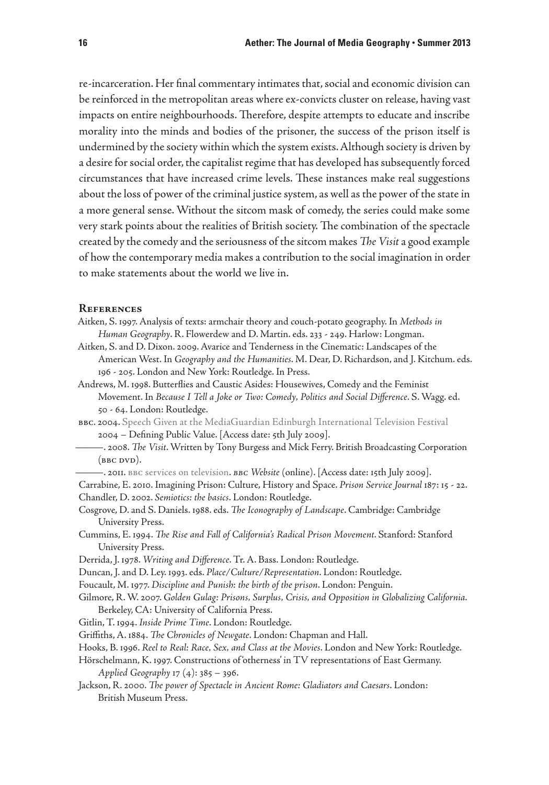re-incarceration. Her final commentary intimates that, social and economic division can be reinforced in the metropolitan areas where ex-convicts cluster on release, having vast impacts on entire neighbourhoods. Therefore, despite attempts to educate and inscribe morality into the minds and bodies of the prisoner, the success of the prison itself is undermined by the society within which the system exists. Although society is driven by a desire for social order, the capitalist regime that has developed has subsequently forced circumstances that have increased crime levels. These instances make real suggestions about the loss of power of the criminal justice system, as well as the power of the state in a more general sense. Without the sitcom mask of comedy, the series could make some very stark points about the realities of British society. The combination of the spectacle created by the comedy and the seriousness of the sitcom makes *The Visit* a good example of how the contemporary media makes a contribution to the social imagination in order to make statements about the world we live in.

#### **References**

- Aitken, S. 1997. Analysis of texts: armchair theory and couch-potato geography. In *Methods in Human Geography*. R. Flowerdew and D. Martin. eds. 233 - 249. Harlow: Longman.
- Aitken, S. and D. Dixon. 2009. Avarice and Tenderness in the Cinematic: Landscapes of the American West. In *Geography and the Humanities*. M. Dear, D. Richardson, and J. Kitchum. eds. 196 - 205. London and New York: Routledge. In Press.
- Andrews, M. 1998. Butterflies and Caustic Asides: Housewives, Comedy and the Feminist Movement. In *Because I Tell a Joke or Two: Comedy, Politics and Social Difference*. S. Wagg. ed. 50 - 64. London: Routledge.
- bbc. 2004. [Speech Given at the MediaGuardian Edinburgh International Television Festival](www.bbc.co.uk/pressoffice/speeches/stories/ 	thompson_edinburgh04.shtml) 2004 – Defining Public Value. [Access date: 5th July 2009].
- ———. 2008. *The Visit*. Written by Tony Burgess and Mick Ferry. British Broadcasting Corporation  $(BBC DVD).$
- ———. 2011. bb[c services on television](http://www.bbc.co.uk/aboutthebbc/services/channels_tv.shtml). *bbc Website* (online). [Access date: 15th July 2009].
- Carrabine, E. 2010. Imagining Prison: Culture, History and Space. *Prison Service Journal* 187: 15 22. Chandler, D. 2002. *Semiotics: the basics*. London: Routledge.
- Cosgrove, D. and S. Daniels. 1988. eds. *The Iconography of Landscape*. Cambridge: Cambridge University Press.
- Cummins, E. 1994. *The Rise and Fall of California's Radical Prison Movement*. Stanford: Stanford University Press.
- Derrida, J. 1978. *Writing and Difference*. Tr. A. Bass. London: Routledge.
- Duncan, J. and D. Ley. 1993. eds. *Place/Culture/Representation*. London: Routledge.
- Foucault, M. 1977. *Discipline and Punish: the birth of the prison*. London: Penguin.
- Gilmore, R. W. 2007. *Golden Gulag: Prisons, Surplus, Crisis, and Opposition in Globalizing California*. Berkeley, CA: University of California Press.
- Gitlin, T. 1994. *Inside Prime Time*. London: Routledge.
- Griffiths, A. 1884. *The Chronicles of Newgate*. London: Chapman and Hall.
- Hooks, B. 1996. *Reel to Real: Race, Sex, and Class at the Movies*. London and New York: Routledge.
- Hörschelmann, K. 1997. Constructions of 'otherness' in TV representations of East Germany.

*Applied Geography* 17 (4): 385 – 396.

Jackson, R. 2000. *The power of Spectacle in Ancient Rome: Gladiators and Caesars*. London: British Museum Press.